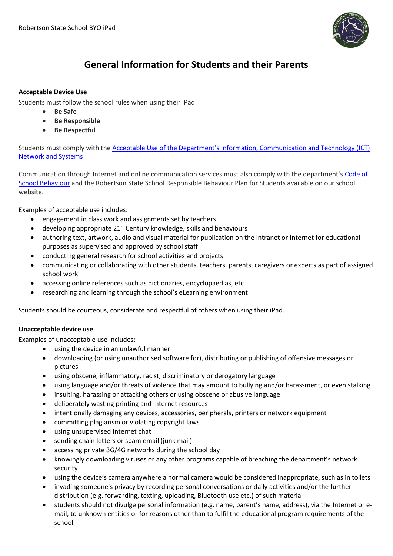

## **General Information for Students and their Parents**

#### **Acceptable Device Use**

Students must follow the school rules when using their iPad:

- **Be Safe**
- **Be Responsible**
- **Be Respectful**

Students must comply with the [Acceptable Use of the Department's Information, Communication and Technology \(ICT\)](https://www.google.com.au/url?sa=t&rct=j&q=&esrc=s&source=web&cd=1&ved=0CB8QFjAAahUKEwjan_iKkb_HAhXHJpQKHaHMDw0&url=http%3A%2F%2Fppr.det.qld.gov.au%2Fcorp%2Fict%2Fmanagement%2FProcedure%2520Attachments%2FInformation%2520Communication%2520and%2520Technology%2Fadvice.DOCX&ei=2rLZVdrKPMfN0AShmb9o&usg=AFQjCNG82QDatyvvKIzYS3D9QnWUl85WAA&sig2=FZP2MTjMt6UMfbTn9bsstQ)  [Network and Systems](https://www.google.com.au/url?sa=t&rct=j&q=&esrc=s&source=web&cd=1&ved=0CB8QFjAAahUKEwjan_iKkb_HAhXHJpQKHaHMDw0&url=http%3A%2F%2Fppr.det.qld.gov.au%2Fcorp%2Fict%2Fmanagement%2FProcedure%2520Attachments%2FInformation%2520Communication%2520and%2520Technology%2Fadvice.DOCX&ei=2rLZVdrKPMfN0AShmb9o&usg=AFQjCNG82QDatyvvKIzYS3D9QnWUl85WAA&sig2=FZP2MTjMt6UMfbTn9bsstQ)

Communication through Internet and online communication services must also comply with the department's [Code of](http://education.qld.gov.au/behaviour/docs/code-school-behaviour-a4.pdf)  [School Behaviour](http://education.qld.gov.au/behaviour/docs/code-school-behaviour-a4.pdf) and the Robertson State School Responsible Behaviour Plan for Students available on our school website.

Examples of acceptable use includes:

- engagement in class work and assignments set by teachers
- $\bullet$  developing appropriate 21<sup>st</sup> Century knowledge, skills and behaviours
- authoring text, artwork, audio and visual material for publication on the Intranet or Internet for educational purposes as supervised and approved by school staff
- conducting general research for school activities and projects
- communicating or collaborating with other students, teachers, parents, caregivers or experts as part of assigned school work
- accessing online references such as dictionaries, encyclopaedias, etc
- researching and learning through the school's eLearning environment

Students should be courteous, considerate and respectful of others when using their iPad.

#### **Unacceptable device use**

Examples of unacceptable use includes:

- using the device in an unlawful manner
- downloading (or using unauthorised software for), distributing or publishing of offensive messages or pictures
- using obscene, inflammatory, racist, discriminatory or derogatory language
- using language and/or threats of violence that may amount to bullying and/or harassment, or even stalking
- insulting, harassing or attacking others or using obscene or abusive language
- deliberately wasting printing and Internet resources
- intentionally damaging any devices, accessories, peripherals, printers or network equipment
- committing plagiarism or violating copyright laws
- using unsupervised Internet chat
- sending chain letters or spam email (junk mail)
- accessing private 3G/4G networks during the school day
- knowingly downloading viruses or any other programs capable of breaching the department's network security
- using the device's camera anywhere a normal camera would be considered inappropriate, such as in toilets
- invading someone's privacy by recording personal conversations or daily activities and/or the further distribution (e.g. forwarding, texting, uploading, Bluetooth use etc.) of such material
- students should not divulge personal information (e.g. name, parent's name, address), via the Internet or email, to unknown entities or for reasons other than to fulfil the educational program requirements of the school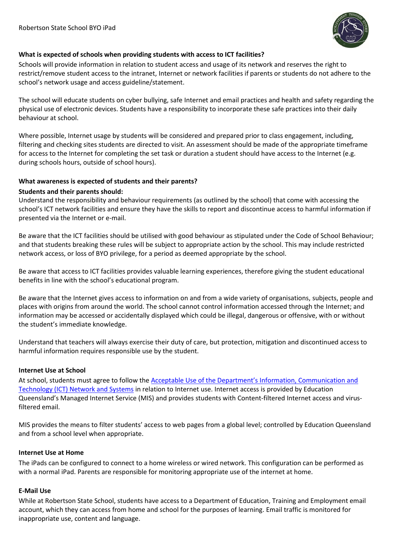

#### **What is expected of schools when providing students with access to ICT facilities?**

Schools will provide information in relation to student access and usage of its network and reserves the right to restrict/remove student access to the intranet, Internet or network facilities if parents or students do not adhere to the school's network usage and access guideline/statement.

The school will educate students on cyber bullying, safe Internet and email practices and health and safety regarding the physical use of electronic devices. Students have a responsibility to incorporate these safe practices into their daily behaviour at school.

Where possible, Internet usage by students will be considered and prepared prior to class engagement, including, filtering and checking sites students are directed to visit. An assessment should be made of the appropriate timeframe for access to the Internet for completing the set task or duration a student should have access to the Internet (e.g. during schools hours, outside of school hours).

#### **What awareness is expected of students and their parents?**

#### **Students and their parents should:**

Understand the responsibility and behaviour requirements (as outlined by the school) that come with accessing the school's ICT network facilities and ensure they have the skills to report and discontinue access to harmful information if presented via the Internet or e-mail.

Be aware that the ICT facilities should be utilised with good behaviour as stipulated under the Code of School Behaviour; and that students breaking these rules will be subject to appropriate action by the school. This may include restricted network access, or loss of BYO privilege, for a period as deemed appropriate by the school.

Be aware that access to ICT facilities provides valuable learning experiences, therefore giving the student educational benefits in line with the school's educational program.

Be aware that the Internet gives access to information on and from a wide variety of organisations, subjects, people and places with origins from around the world. The school cannot control information accessed through the Internet; and information may be accessed or accidentally displayed which could be illegal, dangerous or offensive, with or without the student's immediate knowledge.

Understand that teachers will always exercise their duty of care, but protection, mitigation and discontinued access to harmful information requires responsible use by the student.

#### **Internet Use at School**

At school, students must agree to follow the [Acceptable Use of the Department's Information, Communication and](https://www.google.com.au/url?sa=t&rct=j&q=&esrc=s&source=web&cd=1&ved=0CB8QFjAAahUKEwjan_iKkb_HAhXHJpQKHaHMDw0&url=http%3A%2F%2Fppr.det.qld.gov.au%2Fcorp%2Fict%2Fmanagement%2FProcedure%2520Attachments%2FInformation%2520Communication%2520and%2520Technology%2Fadvice.DOCX&ei=2rLZVdrKPMfN0AShmb9o&usg=AFQjCNG82QDatyvvKIzYS3D9QnWUl85WAA&sig2=FZP2MTjMt6UMfbTn9bsstQ)  [Technology \(ICT\) Network and Systems](https://www.google.com.au/url?sa=t&rct=j&q=&esrc=s&source=web&cd=1&ved=0CB8QFjAAahUKEwjan_iKkb_HAhXHJpQKHaHMDw0&url=http%3A%2F%2Fppr.det.qld.gov.au%2Fcorp%2Fict%2Fmanagement%2FProcedure%2520Attachments%2FInformation%2520Communication%2520and%2520Technology%2Fadvice.DOCX&ei=2rLZVdrKPMfN0AShmb9o&usg=AFQjCNG82QDatyvvKIzYS3D9QnWUl85WAA&sig2=FZP2MTjMt6UMfbTn9bsstQ) in relation to Internet use. Internet access is provided by Education Queensland's Managed Internet Service (MIS) and provides students with Content-filtered Internet access and virusfiltered email.

MIS provides the means to filter students' access to web pages from a global level; controlled by Education Queensland and from a school level when appropriate.

#### **Internet Use at Home**

The iPads can be configured to connect to a home wireless or wired network. This configuration can be performed as with a normal iPad. Parents are responsible for monitoring appropriate use of the internet at home.

#### **E-Mail Use**

While at Robertson State School, students have access to a Department of Education, Training and Employment email account, which they can access from home and school for the purposes of learning. Email traffic is monitored for inappropriate use, content and language.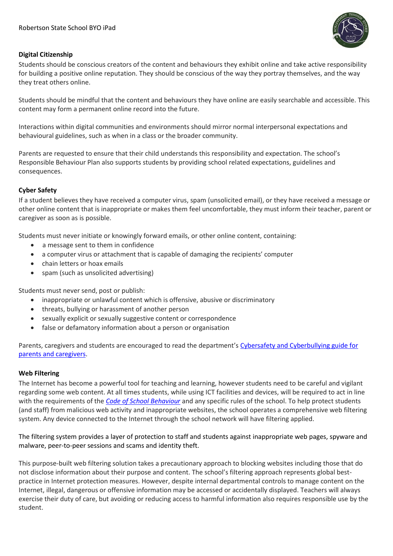

#### **Digital Citizenship**

Students should be conscious creators of the content and behaviours they exhibit online and take active responsibility for building a positive online reputation. They should be conscious of the way they portray themselves, and the way they treat others online.

Students should be mindful that the content and behaviours they have online are easily searchable and accessible. This content may form a permanent online record into the future.

Interactions within digital communities and environments should mirror normal interpersonal expectations and behavioural guidelines, such as when in a class or the broader community.

Parents are requested to ensure that their child understands this responsibility and expectation. The school's Responsible Behaviour Plan also supports students by providing school related expectations, guidelines and consequences.

#### **Cyber Safety**

If a student believes they have received a computer virus, spam (unsolicited email), or they have received a message or other online content that is inappropriate or makes them feel uncomfortable, they must inform their teacher, parent or caregiver as soon as is possible.

Students must never initiate or knowingly forward emails, or other online content, containing:

- a message sent to them in confidence
- a computer virus or attachment that is capable of damaging the recipients' computer
- chain letters or hoax emails
- spam (such as unsolicited advertising)

Students must never send, post or publish:

- inappropriate or unlawful content which is offensive, abusive or discriminatory
- threats, bullying or harassment of another person
- sexually explicit or sexually suggestive content or correspondence
- false or defamatory information about a person or organisation

Parents, caregivers and students are encouraged to read the department's [Cybersafety and Cyberbullying guide for](http://education.qld.gov.au/studentservices/behaviour/qsaav/docs/cyberbullying-cybersafetyprintfriendlyguide.pdf)  [parents and caregivers.](http://education.qld.gov.au/studentservices/behaviour/qsaav/docs/cyberbullying-cybersafetyprintfriendlyguide.pdf)

#### **Web Filtering**

The Internet has become a powerful tool for teaching and learning, however students need to be careful and vigilant regarding some web content. At all times students, while using ICT facilities and devices, will be required to act in line with the requirements of the *[Code of School Behaviour](http://education.qld.gov.au/studentservices/behaviour/bm-codebehav.html)* and any specific rules of the school. To help protect students (and staff) from malicious web activity and inappropriate websites, the school operates a comprehensive web filtering system. Any device connected to the Internet through the school network will have filtering applied.

The filtering system provides a layer of protection to staff and students against inappropriate web pages, spyware and malware, peer-to-peer sessions and scams and identity theft.

This purpose-built web filtering solution takes a precautionary approach to blocking websites including those that do not disclose information about their purpose and content. The school's filtering approach represents global bestpractice in Internet protection measures. However, despite internal departmental controls to manage content on the Internet, illegal, dangerous or offensive information may be accessed or accidentally displayed. Teachers will always exercise their duty of care, but avoiding or reducing access to harmful information also requires responsible use by the student.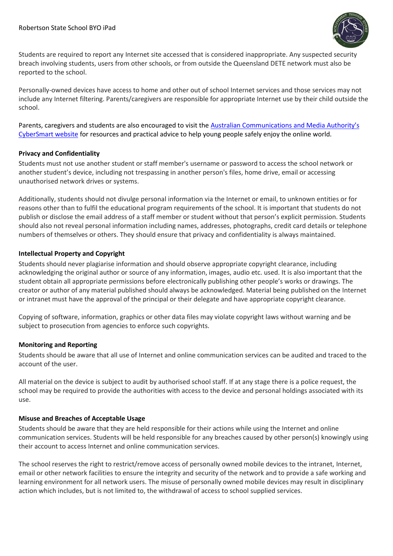

Students are required to report any Internet site accessed that is considered inappropriate. Any suspected security breach involving students, users from other schools, or from outside the Queensland DETE network must also be reported to the school.

Personally-owned devices have access to home and other out of school Internet services and those services may not include any Internet filtering. Parents/caregivers are responsible for appropriate Internet use by their child outside the school.

Parents, caregivers and students are also encouraged to visit the [Australian Communications and Med](http://www.cybersmart.gov.au/)ia Authority's [CyberSmart website](http://www.cybersmart.gov.au/) for resources and practical advice to help young people safely enjoy the online world.

#### **Privacy and Confidentiality**

Students must not use another student or staff member's username or password to access the school network or another student's device, including not trespassing in another person's files, home drive, email or accessing unauthorised network drives or systems.

Additionally, students should not divulge personal information via the Internet or email, to unknown entities or for reasons other than to fulfil the educational program requirements of the school. It is important that students do not publish or disclose the email address of a staff member or student without that person's explicit permission. Students should also not reveal personal information including names, addresses, photographs, credit card details or telephone numbers of themselves or others. They should ensure that privacy and confidentiality is always maintained.

#### **Intellectual Property and Copyright**

Students should never plagiarise information and should observe appropriate copyright clearance, including acknowledging the original author or source of any information, images, audio etc. used. It is also important that the student obtain all appropriate permissions before electronically publishing other people's works or drawings. The creator or author of any material published should always be acknowledged. Material being published on the Internet or intranet must have the approval of the principal or their delegate and have appropriate copyright clearance.

Copying of software, information, graphics or other data files may violate copyright laws without warning and be subject to prosecution from agencies to enforce such copyrights.

#### **Monitoring and Reporting**

Students should be aware that all use of Internet and online communication services can be audited and traced to the account of the user.

All material on the device is subject to audit by authorised school staff. If at any stage there is a police request, the school may be required to provide the authorities with access to the device and personal holdings associated with its use.

#### **Misuse and Breaches of Acceptable Usage**

Students should be aware that they are held responsible for their actions while using the Internet and online communication services. Students will be held responsible for any breaches caused by other person(s) knowingly using their account to access Internet and online communication services.

The school reserves the right to restrict/remove access of personally owned mobile devices to the intranet, Internet, email or other network facilities to ensure the integrity and security of the network and to provide a safe working and learning environment for all network users. The misuse of personally owned mobile devices may result in disciplinary action which includes, but is not limited to, the withdrawal of access to school supplied services.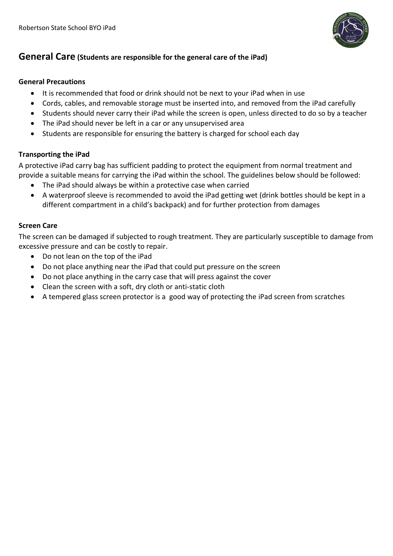

## **General Care (Students are responsible for the general care of the iPad)**

#### **General Precautions**

- It is recommended that food or drink should not be next to your iPad when in use
- Cords, cables, and removable storage must be inserted into, and removed from the iPad carefully
- Students should never carry their iPad while the screen is open, unless directed to do so by a teacher
- The iPad should never be left in a car or any unsupervised area
- Students are responsible for ensuring the battery is charged for school each day

### **Transporting the iPad**

A protective iPad carry bag has sufficient padding to protect the equipment from normal treatment and provide a suitable means for carrying the iPad within the school. The guidelines below should be followed:

- The iPad should always be within a protective case when carried
- A waterproof sleeve is recommended to avoid the iPad getting wet (drink bottles should be kept in a different compartment in a child's backpack) and for further protection from damages

#### **Screen Care**

The screen can be damaged if subjected to rough treatment. They are particularly susceptible to damage from excessive pressure and can be costly to repair.

- Do not lean on the top of the iPad
- Do not place anything near the iPad that could put pressure on the screen
- Do not place anything in the carry case that will press against the cover
- Clean the screen with a soft, dry cloth or anti-static cloth
- A tempered glass screen protector is a good way of protecting the iPad screen from scratches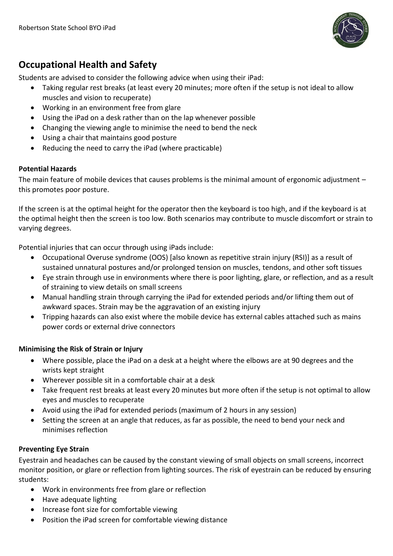

# **Occupational Health and Safety**

Students are advised to consider the following advice when using their iPad:

- Taking regular rest breaks (at least every 20 minutes; more often if the setup is not ideal to allow muscles and vision to recuperate)
- Working in an environment free from glare
- Using the iPad on a desk rather than on the lap whenever possible
- Changing the viewing angle to minimise the need to bend the neck
- Using a chair that maintains good posture
- Reducing the need to carry the iPad (where practicable)

## **Potential Hazards**

The main feature of mobile devices that causes problems is the minimal amount of ergonomic adjustment – this promotes poor posture.

If the screen is at the optimal height for the operator then the keyboard is too high, and if the keyboard is at the optimal height then the screen is too low. Both scenarios may contribute to muscle discomfort or strain to varying degrees.

Potential injuries that can occur through using iPads include:

- Occupational Overuse syndrome (OOS) [also known as repetitive strain injury (RSI)] as a result of sustained unnatural postures and/or prolonged tension on muscles, tendons, and other soft tissues
- Eye strain through use in environments where there is poor lighting, glare, or reflection, and as a result of straining to view details on small screens
- Manual handling strain through carrying the iPad for extended periods and/or lifting them out of awkward spaces. Strain may be the aggravation of an existing injury
- Tripping hazards can also exist where the mobile device has external cables attached such as mains power cords or external drive connectors

## **Minimising the Risk of Strain or Injury**

- Where possible, place the iPad on a desk at a height where the elbows are at 90 degrees and the wrists kept straight
- Wherever possible sit in a comfortable chair at a desk
- Take frequent rest breaks at least every 20 minutes but more often if the setup is not optimal to allow eyes and muscles to recuperate
- Avoid using the iPad for extended periods (maximum of 2 hours in any session)
- Setting the screen at an angle that reduces, as far as possible, the need to bend your neck and minimises reflection

## **Preventing Eye Strain**

Eyestrain and headaches can be caused by the constant viewing of small objects on small screens, incorrect monitor position, or glare or reflection from lighting sources. The risk of eyestrain can be reduced by ensuring students:

- Work in environments free from glare or reflection
- Have adequate lighting
- Increase font size for comfortable viewing
- Position the iPad screen for comfortable viewing distance